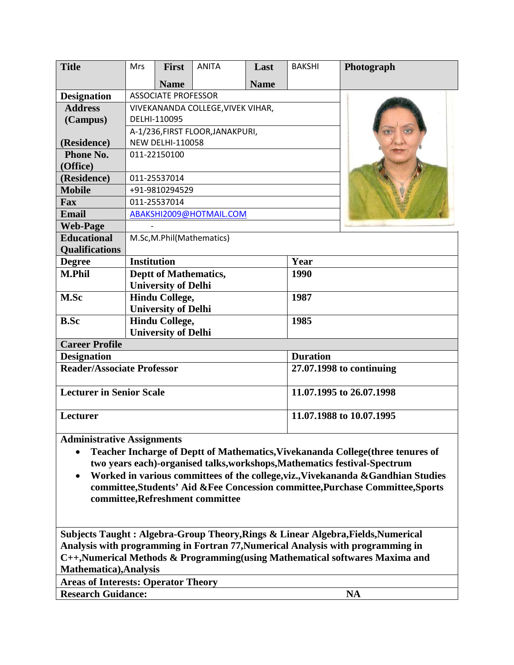| <b>Title</b>                      | <b>Mrs</b>                        | <b>First</b>                 | <b>ANITA</b> | Last        | <b>BAKSHI</b>            | Photograph               |  |
|-----------------------------------|-----------------------------------|------------------------------|--------------|-------------|--------------------------|--------------------------|--|
|                                   |                                   | <b>Name</b>                  |              | <b>Name</b> |                          |                          |  |
| <b>Designation</b>                | <b>ASSOCIATE PROFESSOR</b>        |                              |              |             |                          |                          |  |
| <b>Address</b>                    | VIVEKANANDA COLLEGE, VIVEK VIHAR, |                              |              |             |                          |                          |  |
| (Campus)                          | DELHI-110095                      |                              |              |             |                          |                          |  |
|                                   | A-1/236, FIRST FLOOR, JANAKPURI,  |                              |              |             |                          |                          |  |
| (Residence)                       | <b>NEW DELHI-110058</b>           |                              |              |             |                          |                          |  |
| Phone No.                         | 011-22150100                      |                              |              |             |                          |                          |  |
| (Office)                          |                                   |                              |              |             |                          |                          |  |
| (Residence)                       | 011-25537014                      |                              |              |             |                          |                          |  |
| <b>Mobile</b>                     | +91-9810294529                    |                              |              |             |                          |                          |  |
| Fax                               | 011-25537014                      |                              |              |             |                          |                          |  |
| <b>Email</b>                      | ABAKSHI2009@HOTMAIL.COM           |                              |              |             |                          |                          |  |
| <b>Web-Page</b>                   |                                   |                              |              |             |                          |                          |  |
| <b>Educational</b>                | M.Sc, M.Phil (Mathematics)        |                              |              |             |                          |                          |  |
| <b>Qualifications</b>             |                                   |                              |              |             |                          |                          |  |
| <b>Degree</b>                     | <b>Institution</b>                |                              |              |             | Year                     |                          |  |
| <b>M.Phil</b>                     |                                   | <b>Deptt of Mathematics,</b> |              |             | 1990                     |                          |  |
|                                   | <b>University of Delhi</b>        |                              |              |             |                          |                          |  |
| M.Sc                              |                                   | <b>Hindu College,</b>        |              |             | 1987                     |                          |  |
|                                   |                                   | <b>University of Delhi</b>   |              |             |                          |                          |  |
| <b>B.Sc</b>                       |                                   | <b>Hindu College,</b>        |              |             | 1985                     |                          |  |
|                                   |                                   | <b>University of Delhi</b>   |              |             |                          |                          |  |
| <b>Career Profile</b>             |                                   |                              |              |             |                          |                          |  |
| <b>Designation</b>                |                                   |                              |              |             | <b>Duration</b>          |                          |  |
| <b>Reader/Associate Professor</b> |                                   |                              |              |             | 27.07.1998 to continuing |                          |  |
| <b>Lecturer in Senior Scale</b>   |                                   |                              |              |             |                          | 11.07.1995 to 26.07.1998 |  |
| Lecturer                          |                                   |                              |              |             | 11.07.1988 to 10.07.1995 |                          |  |

**Administrative Assignments**

- **Teacher Incharge of Deptt of Mathematics,Vivekananda College(three tenures of two years each)-organised talks,workshops,Mathematics festival-Spectrum**
- **Worked in various committees of the college,viz.,Vivekananda &Gandhian Studies committee,Students' Aid &Fee Concession committee,Purchase Committee,Sports committee,Refreshment committee**

**Subjects Taught : Algebra-Group Theory,Rings & Linear Algebra,Fields,Numerical Analysis with programming in Fortran 77,Numerical Analysis with programming in C++,Numerical Methods & Programming(using Mathematical softwares Maxima and Mathematica),Analysis**

**Areas of Interests: Operator Theory**

**Research Guidance:** NA